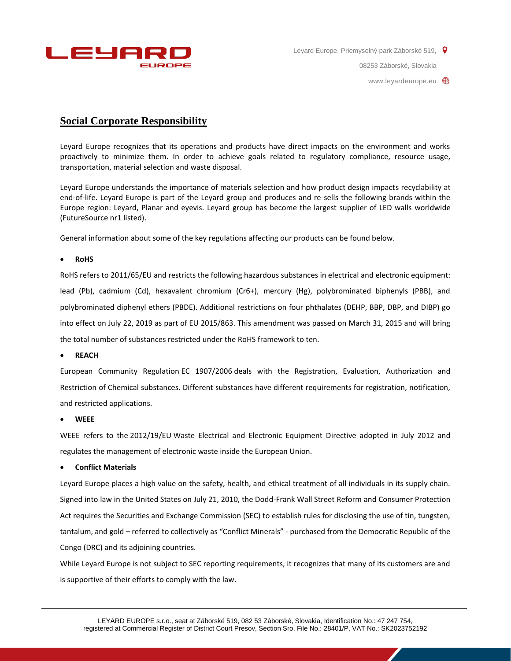

08253 Záborské, Slovakia

www.leyardeurope.eu  $\bigoplus$ 

# **Social Corporate Responsibility**

Leyard Europe recognizes that its operations and products have direct impacts on the environment and works proactively to minimize them. In order to achieve goals related to regulatory compliance, resource usage, transportation, material selection and waste disposal.

Leyard Europe understands the importance of materials selection and how product design impacts recyclability at end-of-life. Leyard Europe is part of the Leyard group and produces and re-sells the following brands within the Europe region: Leyard, Planar and eyevis. Leyard group has become the largest supplier of LED walls worldwide (FutureSource nr1 listed).

General information about some of the key regulations affecting our products can be found below.

#### **RoHS**

RoHS refers to [2011/65/EU](http://eur-lex.europa.eu/legal-content/EN/TXT/?uri=CELEX:32011L0065) and restricts the following hazardous substances in electrical and electronic equipment: lead (Pb), cadmium (Cd), hexavalent chromium (Cr6+), mercury (Hg), polybrominated biphenyls (PBB), and polybrominated diphenyl ethers (PBDE). Additional restrictions on four phthalates (DEHP, BBP, DBP, and DIBP) go into effect on July 22, 2019 as part of [EU 2015/863.](http://eur-lex.europa.eu/legal-content/EN/TXT/?uri=CELEX%3A32015L0863) This amendment was passed on March 31, 2015 and will bring the total number of substances restricted under the RoHS framework to ten.

**REACH**

European Community Regulation [EC 1907/2006](http://eur-lex.europa.eu/legal-content/EN/TXT/?uri=CELEX%3A02006R1907-20140410) deals with the Registration, Evaluation, Authorization and Restriction of Chemical substances. Different substances have different requirements for registration, notification, and restricted applications.

#### **WEEE**

WEEE refers to the [2012/19/EU](http://eur-lex.europa.eu/legal-content/EN/TXT/?uri=CELEX:32012L0019) Waste Electrical and Electronic Equipment Directive adopted in July 2012 and regulates the management of electronic waste inside the European Union.

#### **Conflict Materials**

Leyard Europe places a high value on the safety, health, and ethical treatment of all individuals in its supply chain. Signed into law in the United States on July 21, 2010, the Dodd-Frank Wall Street Reform and Consumer Protection Act requires the Securities and Exchange Commission (SEC) to establish rules for disclosing the use of tin, tungsten, tantalum, and gold – referred to collectively as "Conflict Minerals" - purchased from the Democratic Republic of the Congo (DRC) and its adjoining countries.

While Leyard Europe is not subject to SEC reporting requirements, it recognizes that many of its customers are and is supportive of their efforts to comply with the law.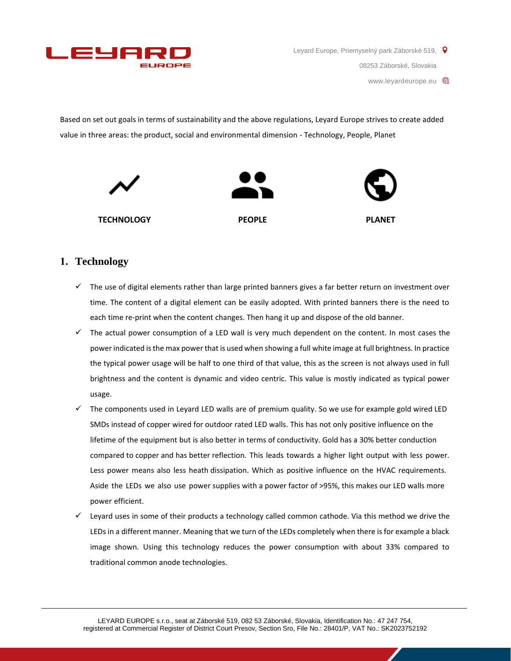

www.leyardeurope.eu  $\bigoplus$ 

Based on set out goals in terms of sustainability and the above regulations, Leyard Europe strives to create added value in three areas: the product, social and environmental dimension - Technology, People, Planet



### **1. Technology**

- $\checkmark$  The use of digital elements rather than large printed banners gives a far better return on investment over time. The content of a digital element can be easily adopted. With printed banners there is the need to each time re-print when the content changes. Then hang it up and dispose of the old banner.
- $\checkmark$  The actual power consumption of a LED wall is very much dependent on the content. In most cases the power indicated is the max power that is used when showing a full white image at full brightness. In practice the typical power usage will be half to one third of that value, this as the screen is not always used in full brightness and the content is dynamic and video centric. This value is mostly indicated as typical power usage.
- $\checkmark$  The components used in Leyard LED walls are of premium quality. So we use for example gold wired LED SMDs instead of copper wired for outdoor rated LED walls. This has not only positive influence on the lifetime of the equipment but is also better in terms of conductivity. Gold has a 30% better conduction compared to copper and has better reflection. This leads towards a higher light output with less power. Less power means also less heath dissipation. Which as positive influence on the HVAC requirements. Aside the LEDs we also use power supplies with a power factor of >95%, this makes our LED walls more power efficient.
- $\checkmark$  Leyard uses in some of their products a technology called common cathode. Via this method we drive the LEDs in a different manner. Meaning that we turn of the LEDs completely when there is for example a black image shown. Using this technology reduces the power consumption with about 33% compared to traditional common anode technologies.